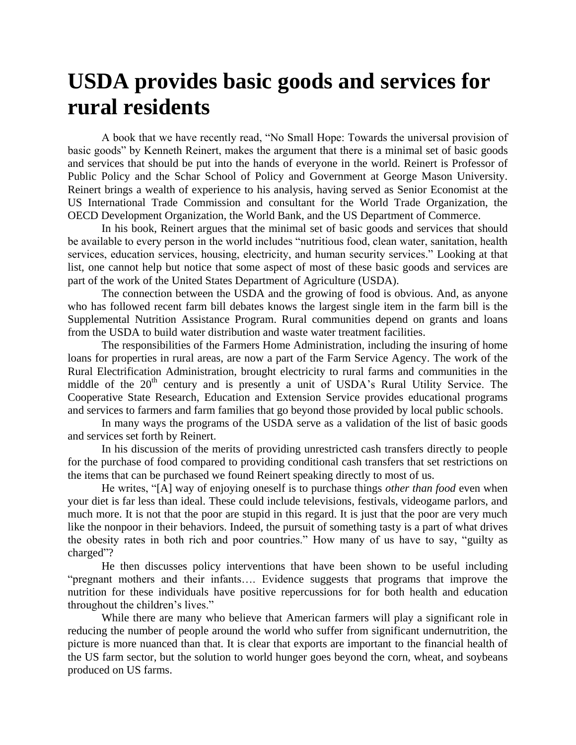## **USDA provides basic goods and services for rural residents**

A book that we have recently read, "No Small Hope: Towards the universal provision of basic goods" by Kenneth Reinert, makes the argument that there is a minimal set of basic goods and services that should be put into the hands of everyone in the world. Reinert is Professor of Public Policy and the Schar School of Policy and Government at George Mason University. Reinert brings a wealth of experience to his analysis, having served as Senior Economist at the US International Trade Commission and consultant for the World Trade Organization, the OECD Development Organization, the World Bank, and the US Department of Commerce.

In his book, Reinert argues that the minimal set of basic goods and services that should be available to every person in the world includes "nutritious food, clean water, sanitation, health services, education services, housing, electricity, and human security services." Looking at that list, one cannot help but notice that some aspect of most of these basic goods and services are part of the work of the United States Department of Agriculture (USDA).

The connection between the USDA and the growing of food is obvious. And, as anyone who has followed recent farm bill debates knows the largest single item in the farm bill is the Supplemental Nutrition Assistance Program. Rural communities depend on grants and loans from the USDA to build water distribution and waste water treatment facilities.

The responsibilities of the Farmers Home Administration, including the insuring of home loans for properties in rural areas, are now a part of the Farm Service Agency. The work of the Rural Electrification Administration, brought electricity to rural farms and communities in the middle of the  $20<sup>th</sup>$  century and is presently a unit of USDA's Rural Utility Service. The Cooperative State Research, Education and Extension Service provides educational programs and services to farmers and farm families that go beyond those provided by local public schools.

In many ways the programs of the USDA serve as a validation of the list of basic goods and services set forth by Reinert.

In his discussion of the merits of providing unrestricted cash transfers directly to people for the purchase of food compared to providing conditional cash transfers that set restrictions on the items that can be purchased we found Reinert speaking directly to most of us.

He writes, "[A] way of enjoying oneself is to purchase things *other than food* even when your diet is far less than ideal. These could include televisions, festivals, videogame parlors, and much more. It is not that the poor are stupid in this regard. It is just that the poor are very much like the nonpoor in their behaviors. Indeed, the pursuit of something tasty is a part of what drives the obesity rates in both rich and poor countries." How many of us have to say, "guilty as charged"?

He then discusses policy interventions that have been shown to be useful including "pregnant mothers and their infants…. Evidence suggests that programs that improve the nutrition for these individuals have positive repercussions for for both health and education throughout the children's lives."

While there are many who believe that American farmers will play a significant role in reducing the number of people around the world who suffer from significant undernutrition, the picture is more nuanced than that. It is clear that exports are important to the financial health of the US farm sector, but the solution to world hunger goes beyond the corn, wheat, and soybeans produced on US farms.